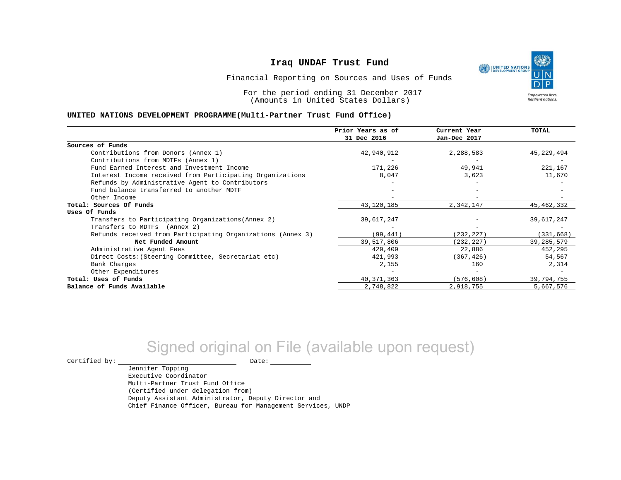

Financial Reporting on Sources and Uses of Funds

For the period ending 31 December 2017 (Amounts in United States Dollars)

#### **UNITED NATIONS DEVELOPMENT PROGRAMME(Multi-Partner Trust Fund Office)**

|                                                             | Prior Years as of | Current Year | TOTAL        |
|-------------------------------------------------------------|-------------------|--------------|--------------|
|                                                             | 31 Dec 2016       | Jan-Dec 2017 |              |
| Sources of Funds                                            |                   |              |              |
| Contributions from Donors (Annex 1)                         | 42,940,912        | 2,288,583    | 45, 229, 494 |
| Contributions from MDTFs (Annex 1)                          |                   |              |              |
| Fund Earned Interest and Investment Income                  | 171,226           | 49,941       | 221,167      |
| Interest Income received from Participating Organizations   | 8,047             | 3,623        | 11,670       |
| Refunds by Administrative Agent to Contributors             |                   |              |              |
| Fund balance transferred to another MDTF                    |                   |              |              |
| Other Income                                                |                   |              |              |
| Total: Sources Of Funds                                     | 43, 120, 185      | 2,342,147    | 45, 462, 332 |
| Uses Of Funds                                               |                   |              |              |
| Transfers to Participating Organizations (Annex 2)          | 39,617,247        |              | 39,617,247   |
| Transfers to MDTFs (Annex 2)                                |                   |              |              |
| Refunds received from Participating Organizations (Annex 3) | (99, 441)         | (232, 227)   | (331, 668)   |
| Net Funded Amount                                           | 39,517,806        | (232, 227)   | 39, 285, 579 |
| Administrative Agent Fees                                   | 429,409           | 22,886       | 452,295      |
| Direct Costs: (Steering Committee, Secretariat etc)         | 421,993           | (367, 426)   | 54,567       |
| Bank Charges                                                | 2,155             | 160          | 2,314        |
| Other Expenditures                                          |                   |              |              |
| Total: Uses of Funds                                        | 40, 371, 363      | (576, 608)   | 39,794,755   |
| Balance of Funds Available                                  | 2,748,822         | 2,918,755    | 5,667,576    |

# Signed original on File (available upon request)

Jennifer Topping

 $\begin{picture}(180,180)(0,0) \put(0,0){\vector(1,0){180}} \put(15,0){\vector(1,0){180}} \put(15,0){\vector(1,0){180}} \put(15,0){\vector(1,0){180}} \put(15,0){\vector(1,0){180}} \put(15,0){\vector(1,0){180}} \put(15,0){\vector(1,0){180}} \put(15,0){\vector(1,0){180}} \put(15,0){\vector(1,0){180}} \put(15,0){\vector(1,0){180}} \put(15,0){\vector(1,0$ 

Executive Coordinator Multi-Partner Trust Fund Office (Certified under delegation from) Deputy Assistant Administrator, Deputy Director and Chief Finance Officer, Bureau for Management Services, UNDP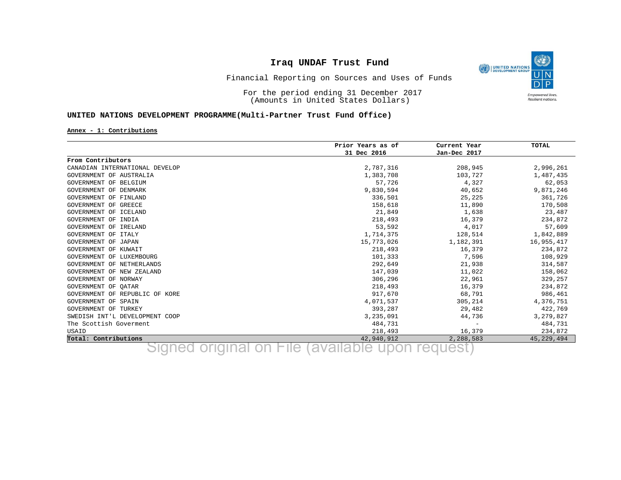

Financial Reporting on Sources and Uses of Funds

For the period ending 31 December 2017 (Amounts in United States Dollars)

#### **UNITED NATIONS DEVELOPMENT PROGRAMME(Multi-Partner Trust Fund Office)**

**Annex - 1: Contributions**

|                                | Prior Years as of | Current Year             | TOTAL      |
|--------------------------------|-------------------|--------------------------|------------|
|                                | 31 Dec 2016       | Jan-Dec 2017             |            |
| From Contributors              |                   |                          |            |
| CANADIAN INTERNATIONAL DEVELOP | 2,787,316         | 208,945                  | 2,996,261  |
| GOVERNMENT OF AUSTRALIA        | 1,383,708         | 103,727                  | 1,487,435  |
| GOVERNMENT OF BELGIUM          | 57,726            | 4,327                    | 62,053     |
| GOVERNMENT OF DENMARK          | 9,830,594         | 40,652                   | 9,871,246  |
| GOVERNMENT OF FINLAND          | 336,501           | 25,225                   | 361,726    |
| GOVERNMENT OF GREECE           | 158,618           | 11,890                   | 170,508    |
| GOVERNMENT OF ICELAND          | 21,849            | 1,638                    | 23,487     |
| GOVERNMENT OF INDIA            | 218,493           | 16,379                   | 234,872    |
| GOVERNMENT OF IRELAND          | 53,592            | 4,017                    | 57,609     |
| GOVERNMENT OF ITALY            | 1,714,375         | 128,514                  | 1,842,889  |
| GOVERNMENT OF JAPAN            | 15,773,026        | 1,182,391                | 16,955,417 |
| GOVERNMENT OF KUWAIT           | 218,493           | 16,379                   | 234,872    |
| GOVERNMENT OF LUXEMBOURG       | 101,333           | 7,596                    | 108,929    |
| GOVERNMENT OF NETHERLANDS      | 292,649           | 21,938                   | 314,587    |
| GOVERNMENT OF NEW ZEALAND      | 147,039           | 11,022                   | 158,062    |
| GOVERNMENT OF NORWAY           | 306,296           | 22,961                   | 329,257    |
| GOVERNMENT OF OATAR            | 218,493           | 16,379                   | 234,872    |
| GOVERNMENT OF REPUBLIC OF KORE | 917,670           | 68,791                   | 986,461    |
| GOVERNMENT OF SPAIN            | 4,071,537         | 305,214                  | 4,376,751  |
| GOVERNMENT OF TURKEY           | 393,287           | 29,482                   | 422,769    |
| SWEDISH INT'L DEVELOPMENT COOP | 3,235,091         | 44,736                   | 3,279,827  |
| The Scottish Goverment         | 484,731           | $\overline{\phantom{m}}$ | 484,731    |
| USAID                          | 218,493           | 16,379                   | 234,872    |
| Total: Contributions           | 42,940,912        | 2,288,583                | 45,229,494 |

<u>rotal: Contributions</u> Signed original on File (available upon request) and the set of the Signed original on File (available upon request)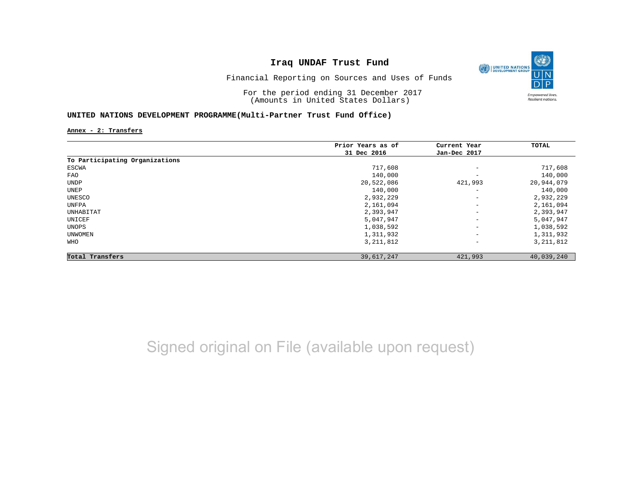

Financial Reporting on Sources and Uses of Funds

For the period ending 31 December 2017 (Amounts in United States Dollars)

#### **UNITED NATIONS DEVELOPMENT PROGRAMME(Multi-Partner Trust Fund Office)**

**Annex - 2: Transfers**

|                                | Prior Years as of | Current Year                 | TOTAL       |
|--------------------------------|-------------------|------------------------------|-------------|
|                                | 31 Dec 2016       | Jan-Dec 2017                 |             |
| To Participating Organizations |                   |                              |             |
| ESCWA                          | 717,608           | $\overline{\phantom{m}}$     | 717,608     |
| FAO                            | 140,000           | -                            | 140,000     |
| UNDP                           | 20,522,086        | 421,993                      | 20,944,079  |
| UNEP                           | 140,000           | $\overline{\phantom{m}}$     | 140,000     |
| UNESCO                         | 2,932,229         | $\overline{\phantom{m}}$     | 2,932,229   |
| UNFPA                          | 2,161,094         | $-$                          | 2,161,094   |
| UNHABITAT                      | 2,393,947         | $\qquad \qquad -$            | 2,393,947   |
| UNICEF                         | 5,047,947         | $\overline{\phantom{0}}$     | 5,047,947   |
| UNOPS                          | 1,038,592         | $\qquad \qquad -$            | 1,038,592   |
| UNWOMEN                        | 1,311,932         | $\qquad \qquad \blacksquare$ | 1,311,932   |
| WHO                            | 3, 211, 812       | $\qquad \qquad -$            | 3, 211, 812 |
| Total Transfers                | 39,617,247        | 421,993                      | 40,039,240  |

Signed original on File (available upon request)